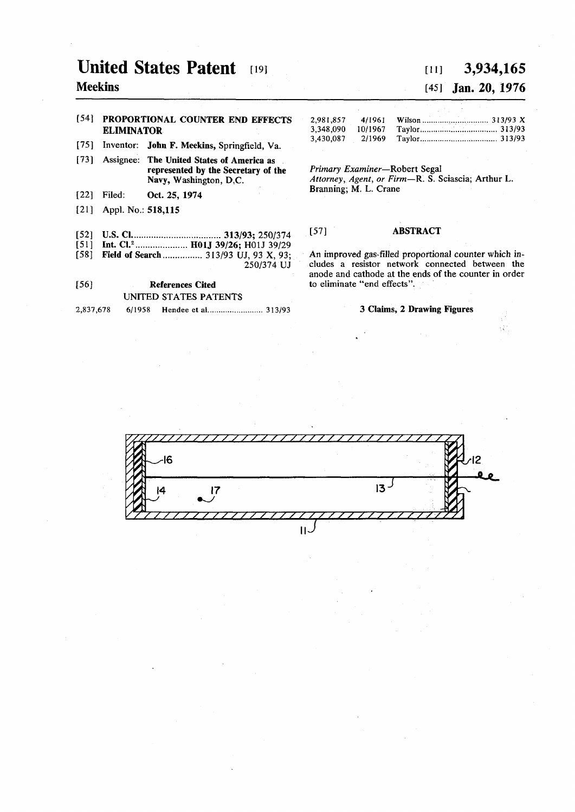# **United States Patent [19]**

# **Meekins**

### [54] PROPORTIONAL COUNTER END EFFECTS ELIMINATOR

[75] Inventor: John F. Meekins, Springfield, Va.

[73] Assignee: The United States of America as represented by the Secretary of the Navy, Washington, D.C.

- [22] Filed: Oct. 25, 1974
- [21] Appl. No.: 518,115
- [52] U.S. Cl. (1993) U.S. Cl. (1994) U.S. Cl. (1994) U.S. Cl. 2. (1994) U.S. (1994) U.S. (1994) U.S. (1994) U.
- [51] Int. Cl.<sup>2</sup> .................... H01J 39/26; H01J 39/29
- [58] Field of Search ................ 313/93 UJ, 93 X, 93; 250/374 UJ

## [56] References Cited UNITED STATES PATENTS

**2,837,678 6/1958 Hendee et al 313/93** 3 Claims, 2 Drawin g Figure s

# **[ i n 3,934,16 5**

## **[45] Jan. 20, 1976**

| 2.981.857 | 4/1961 |  |
|-----------|--------|--|
| 3.348.090 |        |  |
| 3,430,087 |        |  |

*Primary Examiner—*Robert Segal *Attorney, Agent, or Firm*—R. S. Sciascia; Arthur L. Branning; M. L. Crane

### [57] ABSTRACT

An improved gas-filled proportional counter which includes a resistor network connected between the anode and cathode at the ends of the counter in order to eliminate "end effects".

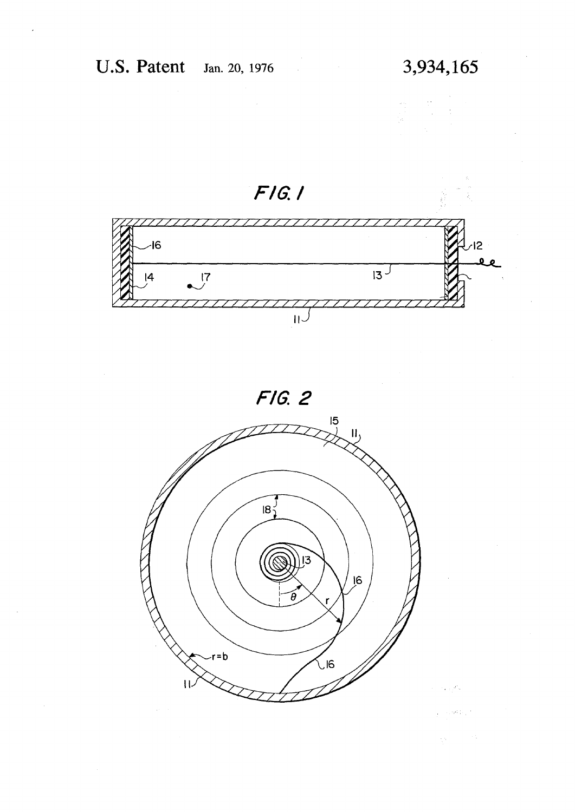$\mathcal{A}^{\mathcal{A}}$ 



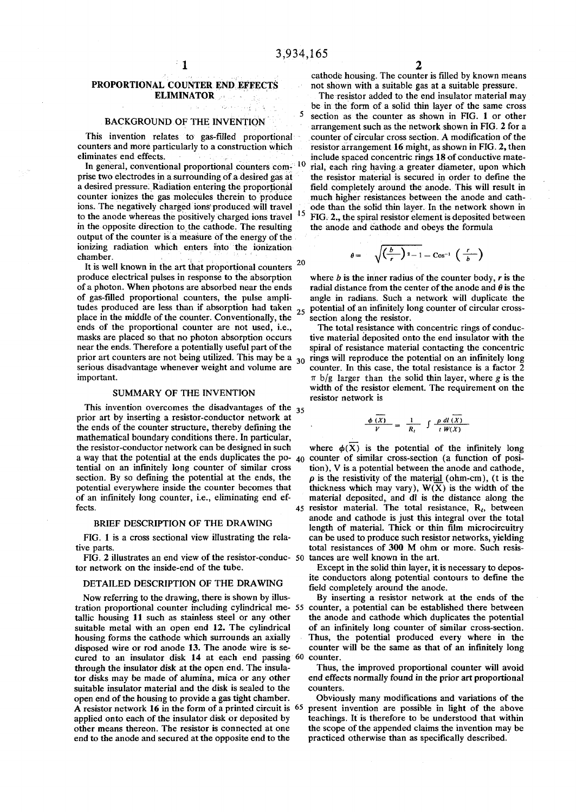5

# PROPORTIONAL COUNTER END EFFECTS not shown with a suitable gas at a suitable pressure.<br>ELIMINATOR The resistor added to the end insulator material m

### BACKGROUND OF THE INVENTION

counters and more particularly to a construction which resistor arrangement 16 might, as shown in FIG. 2, then

In general, conventional proportional counters com- $10$ to the anode whereas the positively charged ions travel  $\frac{15}{2}$ in the opposite direction to the cathode. The resulting the anode and cathode and obeys the formula output of the counter is a measure of the energy of the ionizing radiation which enters into the ionization chamber.

It is well known in the art that proportional counters produce electrical pulses in response to the absorption where *b* is the inner radius of the counter body, r is the of a photon. When photons are absorbed near the ends radial distance from the center of the anode and  $\theta$  is the of gas-filled proportional counters, the pulse ampli- angle in radians. Such a network will duplicate the tudes produced are less than if absorption had taken  $25$  potential of an infinitely long counter of circular crossplace in the middle of the counter. Conventionally, the  $\sim$  section along the resistor. ends of the proportional counter are not used, i.e., The total resistance with concentric rings of conducmasks are placed so that no photon absorption occurs tive material deposited onto the end insulator with the near the ends. Therefore a potentially useful part of the spiral of resistance material contacting the concentric prior art counters are not being utilized. This may be a  $_{30}$  rings will reproduce the potential on an infinitely long serious disadvantage whenever weight and volume are  $\tilde{c}$  counter. In this case, the total resistance is a factor 2

### SUMMARY OF THE INVENTION

This invention overcomes the disadvantages of the  $35$  prior art by inserting a resistor-conductor network at prior art by inserting a resistor-conductor network at  $\frac{\phi(X)}{\phi(X)} = \frac{1}{\phi(X)} \int \frac{\rho \, dI(X)}{X}$ the ends of the counter structure, thereby defining the  $p = R_1 + w(X)$   $p = R_2 + w(X)$ mathematical boundary conditions there. In particular,<br>the resistor-conductor network can be designed in such where  $\phi(\overline{X})$  is the potential of the infinitely long

### BRIEF DESCRIPTION OF THE DRAWING

FIG. 2 illustrates an end view of the resistor-conduc- 50 tances are well known in the art.<br>tor network on the inside-end of the tube. Except in the solid thin layer, it

### DETAILED DESCRIPTION OF THE DRAWING

tration proportional counter including cylindrical me- 55 counter, a potential can be established there between tallic housing 11 such as stainless steel or any other the anode and cathode which duplicates the potential tallic housing 11 such as stainless steel or any other suitable metal with an open end 12. The cylindrical suitable metal with an open end 12. The cylindrical of an infinitely long counter of similar cross-section.<br>housing forms the cathode which surrounds an axially Thus, the potential produced every where in the disposed wire or rod anode 13. The anode wire is se-<br>curred to an insulator disk 14 at each end passing  $60$  counter. cured to an insulator disk  $14$  at each end passing  $60$  through the insulator disk at the open end. The insulator disks may be made of alumina, mica or any other end effects not all the insulator material and the disk is sealed to the counters suitable insulator material and the disk is sealed to the counters.<br>open end of the housing to provide a gas tight chamber. Obviously many modifications and variations of the open end of the housing to provide a gas tight chamber. Obviously many modifications and variations of the A resistor network 16 in the form of a printed circuit is <sup>65</sup> present invention are possible in light of the above A resistor network 16 in the form of a printed circuit is <sup>65</sup> present invention are possible in light of the above applied onto each of the insulator disk or deposited by teachings. It is therefore to be understood that w applied onto each of the insulator disk or deposited by other means thereon. The resistor is connected at one end to the anode and secured at the opposite end to the

cathode housing. The counter is filled by known means

The resistor added to the end insulator material may be in the form of a solid thin layer of the same cross section as the counter as shown in FIG. 1 or other arrangement such as the network shown in FIG. 2 for a This invention relates to gas-filled proportional counter of circular cross section. A modification of the eliminates end effects. include spaced concentric rings 18 of conductive mate rial, each ring having a greater diameter, upon which prise two electrodes in a surrounding of a desired gas at the resistor material is secured in order to define the a desired pressure. Radiation entering the proportional field completely around the anode. This will result in counter ionizes the gas molecules therein to produce much higher resistances between the anode and cathions. The negatively charged ions produced will travel ode than the solid thin layer. In the network shown in FIG. 2., the spiral resistor element is deposited between

$$
\theta = \sqrt{\left(\frac{b}{r}\right)^2 - 1} - \cos^{-1}\left(\frac{r}{b}\right)
$$

important. The solid thin layer, where g is the solid thin layer, where g is the width of the resistor element. The requirement on the resistor f resistor network is

$$
\frac{\phi(X)}{V} = \frac{1}{R_t} \int \frac{\rho \, dl \, (X)}{t \, W(X)}
$$

the resistor-conductor network can be designed in such where  $\phi(x)$  is the potential of the infinitely long a way that the potential at the ends duplicates the po- 40 counter of similar cross-section (a function of positential on an infinitely long counter of similar cross tion), V is a potential between the anode and cathode, section. By so defining the potential at the ends, the  $\rho$  is the resistivity of the material (ohm-cm), (t is section. By so defining the potential at the ends, the  $\rho$  is the resistivity of the material (ohm-cm), (t is the potential everywhere inside the counter becomes that thickness which may vary), W(X) is the width of the potential everywhere inside the counter becomes that thickness which may vary),  $W(\overline{X})$  is the width of the of an infinitely long counter, i.e., eliminating end ef-<br>material deposited, and dl is the distance along the of an infinitely long counter, i.e., eliminating end ef-<br>fects as resistor material. The total resistance R, between 45 resistor material. The total resistance,  $R_t$ , between anode and cathode is just this integral over the total length of material. Thick or thin film microcircuitry FIG. 1 is a cross sectional view illustrating the rela-<br>tive used to produce such resistor networks, yielding<br>total resistances of 300 M ohm or more. Such resistotal resistances of 300 M ohm or more. Such resis-

> Except in the solid thin layer, it is necessary to deposite conductors along potential contours to define the field completely around the anode.

Now referring to the drawing, there is shown by illus-<br>ation proportional counter including cylindrical me-55 counter, a potential can be established there between Thus, the potential produced every where in the counter will be the same as that of an infinitely long

Thus, the improved proportional counter will avoid end effects normally found in the prior art proportional

the scope of the appended claims the invention may be practiced otherwise than as specifically described.